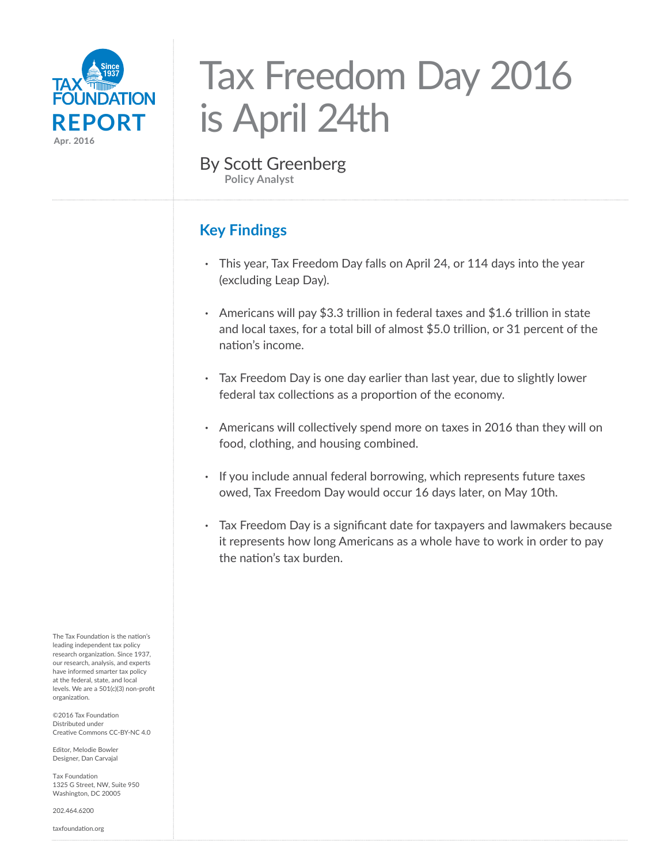

# Tax Freedom Day 2016 is April 24th

By Scott Greenberg **Policy Analyst**

# **Key Findings**

- **·** This year, Tax Freedom Day falls on April 24, or 114 days into the year (excluding Leap Day).
- **·** Americans will pay \$3.3 trillion in federal taxes and \$1.6 trillion in state and local taxes, for a total bill of almost \$5.0 trillion, or 31 percent of the nation's income.
- **·** Tax Freedom Day is one day earlier than last year, due to slightly lower federal tax collections as a proportion of the economy.
- **·** Americans will collectively spend more on taxes in 2016 than they will on food, clothing, and housing combined.
- **·** If you include annual federal borrowing, which represents future taxes owed, Tax Freedom Day would occur 16 days later, on May 10th.
- **·** Tax Freedom Day is a significant date for taxpayers and lawmakers because it represents how long Americans as a whole have to work in order to pay the nation's tax burden.

The Tax Foundation is the nation's leading independent tax policy research organization. Since 1937, our research, analysis, and experts have informed smarter tax policy at the federal, state, and local levels. We are a 501(c)(3) non-profit organization.

©2016 Tax Foundation Distributed under Creative Commons CC-BY-NC 4.0

Editor, Melodie Bowler Designer, Dan Carvajal

Tax Foundation 1325 G Street, NW, Suite 950 Washington, DC 20005

202.464.6200

taxfoundation.org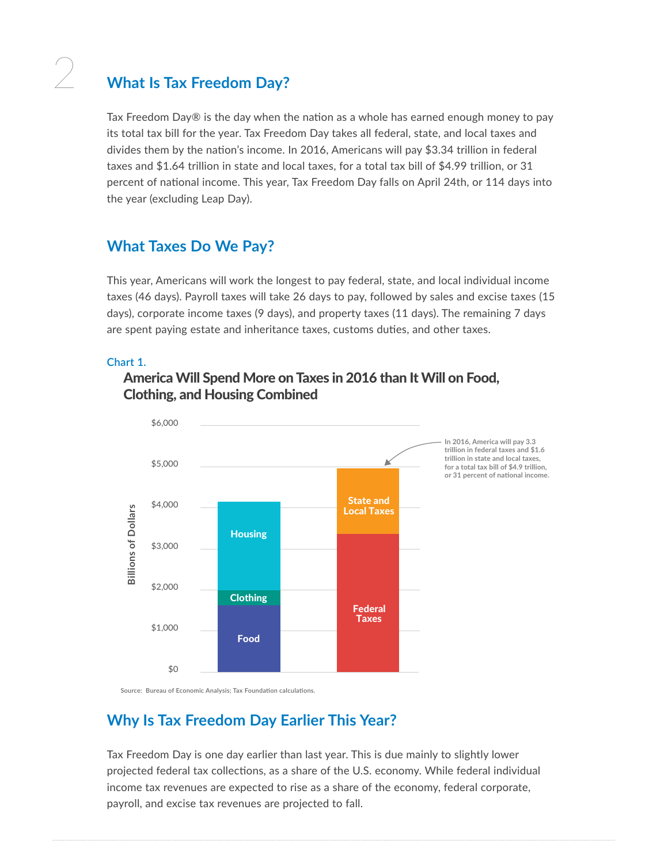## 2 **What Is Tax Freedom Day?**

Tax Freedom Day $\circledR$  is the day when the nation as a whole has earned enough money to pay its total tax bill for the year. Tax Freedom Day takes all federal, state, and local taxes and divides them by the nation's income. In 2016, Americans will pay \$3.34 trillion in federal taxes and \$1.64 trillion in state and local taxes, for a total tax bill of \$4.99 trillion, or 31 percent of national income. This year, Tax Freedom Day falls on April 24th, or 114 days into the year (excluding Leap Day).

### **What Taxes Do We Pay?**

This year, Americans will work the longest to pay federal, state, and local individual income taxes (46 days). Payroll taxes will take 26 days to pay, followed by sales and excise taxes (15 days), corporate income taxes (9 days), and property taxes (11 days). The remaining 7 days are spent paying estate and inheritance taxes, customs duties, and other taxes.

#### **Chart 1.**

#### America Will Spend More on Taxes in 2016 than It Will on Food, Clothing, and Housing Combined



**In 2016, America will pay 3.3 trillion in federal taxes and \$1.6 trillion in state and local taxes, for a total tax bill of \$4.9 trillion, or 31 percent of national income.**

**Source: Bureau of Economic Analysis; Tax Foundation calculations.**

## **Why Is Tax Freedom Day Earlier This Year?**

Tax Freedom Day is one day earlier than last year. This is due mainly to slightly lower projected federal tax collections, as a share of the U.S. economy. While federal individual income tax revenues are expected to rise as a share of the economy, federal corporate, payroll, and excise tax revenues are projected to fall.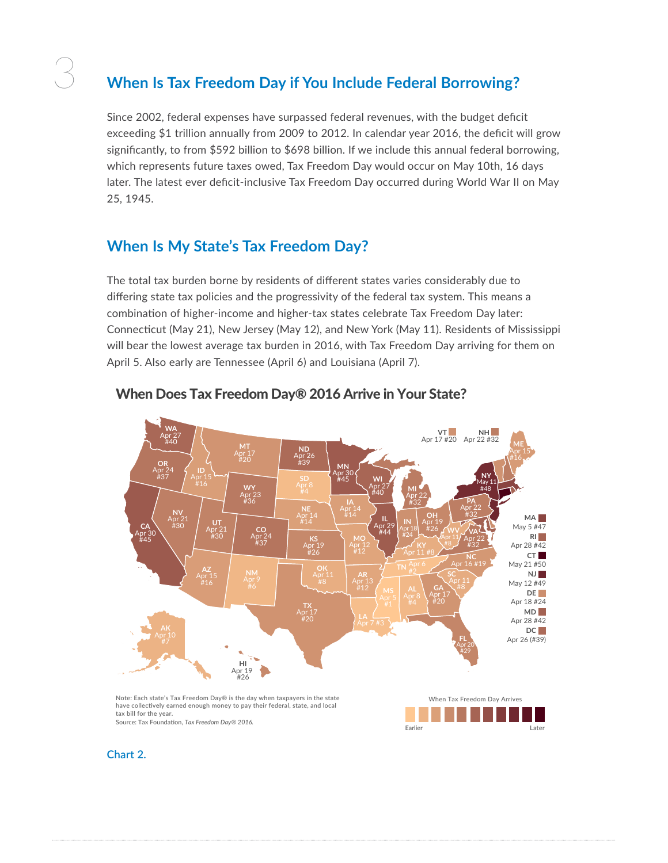# 3 **When Is Tax Freedom Day if You Include Federal Borrowing?**

Since 2002, federal expenses have surpassed federal revenues, with the budget deficit exceeding \$1 trillion annually from 2009 to 2012. In calendar year 2016, the deficit will grow significantly, to from \$592 billion to \$698 billion. If we include this annual federal borrowing, which represents future taxes owed, Tax Freedom Day would occur on May 10th, 16 days later. The latest ever deficit-inclusive Tax Freedom Day occurred during World War II on May 25, 1945.

#### **When Is My State's Tax Freedom Day?**

The total tax burden borne by residents of different states varies considerably due to differing state tax policies and the progressivity of the federal tax system. This means a combination of higher-income and higher-tax states celebrate Tax Freedom Day later: Connecticut (May 21), New Jersey (May 12), and New York (May 11). Residents of Mississippi will bear the lowest average tax burden in 2016, with Tax Freedom Day arriving for them on April 5. Also early are Tennessee (April 6) and Louisiana (April 7).



#### When Does Tax Freedom Day® 2016 Arrive in Your State?

**have collectively earned enough money to pay their federal, state, and local tax bill for the year. Source: Tax Foundation,** *Tax Freedom Day® 2016.*



**Chart 2.**